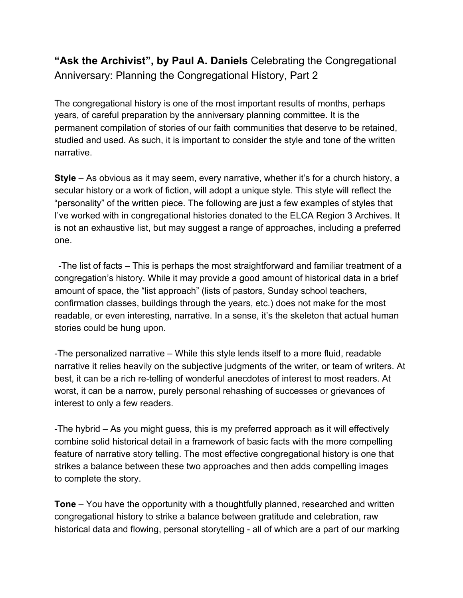**"Ask the Archivist", by Paul A. Daniels** Celebrating the Congregational Anniversary: Planning the Congregational History, Part 2

The congregational history is one of the most important results of months, perhaps years, of careful preparation by the anniversary planning committee. It is the permanent compilation of stories of our faith communities that deserve to be retained, studied and used. As such, it is important to consider the style and tone of the written narrative.

**Style** – As obvious as it may seem, every narrative, whether it's for a church history, a secular history or a work of fiction, will adopt a unique style. This style will reflect the "personality" of the written piece. The following are just a few examples of styles that I've worked with in congregational histories donated to the ELCA Region 3 Archives. It is not an exhaustive list, but may suggest a range of approaches, including a preferred one.

-The list of facts – This is perhaps the most straightforward and familiar treatment of a congregation's history. While it may provide a good amount of historical data in a brief amount of space, the "list approach" (lists of pastors, Sunday school teachers, confirmation classes, buildings through the years, etc.) does not make for the most readable, or even interesting, narrative. In a sense, it's the skeleton that actual human stories could be hung upon.

-The personalized narrative – While this style lends itself to a more fluid, readable narrative it relies heavily on the subjective judgments of the writer, or team of writers. At best, it can be a rich re-telling of wonderful anecdotes of interest to most readers. At worst, it can be a narrow, purely personal rehashing of successes or grievances of interest to only a few readers.

-The hybrid – As you might guess, this is my preferred approach as it will effectively combine solid historical detail in a framework of basic facts with the more compelling feature of narrative story telling. The most effective congregational history is one that strikes a balance between these two approaches and then adds compelling images to complete the story.

**Tone** – You have the opportunity with a thoughtfully planned, researched and written congregational history to strike a balance between gratitude and celebration, raw historical data and flowing, personal storytelling - all of which are a part of our marking